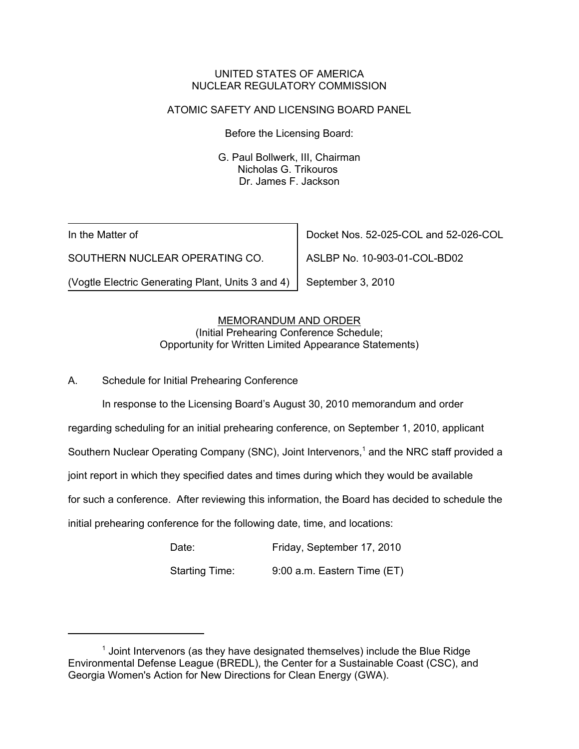## UNITED STATES OF AMERICA NUCLEAR REGULATORY COMMISSION

# ATOMIC SAFETY AND LICENSING BOARD PANEL

Before the Licensing Board:

G. Paul Bollwerk, III, Chairman Nicholas G. Trikouros Dr. James F. Jackson

In the Matter of

SOUTHERN NUCLEAR OPERATING CO.

(Vogtle Electric Generating Plant, Units 3 and 4)

Docket Nos. 52-025-COL and 52-026-COL

ASLBP No. 10-903-01-COL-BD02

September 3, 2010

# MEMORANDUM AND ORDER

(Initial Prehearing Conference Schedule; Opportunity for Written Limited Appearance Statements)

A. Schedule for Initial Prehearing Conference

In response to the Licensing Board's August 30, 2010 memorandum and order

regarding scheduling for an initial prehearing conference, on September 1, 2010, applicant

Southern Nuclear Operating Company (SNC), Joint Intervenors,<sup>1</sup> and the NRC staff provided a

joint report in which they specified dates and times during which they would be available

for such a conference. After reviewing this information, the Board has decided to schedule the

initial prehearing conference for the following date, time, and locations:

| Date:                 | Friday, September 17, 2010  |
|-----------------------|-----------------------------|
| <b>Starting Time:</b> | 9:00 a.m. Eastern Time (ET) |

 $<sup>1</sup>$  Joint Intervenors (as they have designated themselves) include the Blue Ridge</sup> Environmental Defense League (BREDL), the Center for a Sustainable Coast (CSC), and Georgia Women's Action for New Directions for Clean Energy (GWA).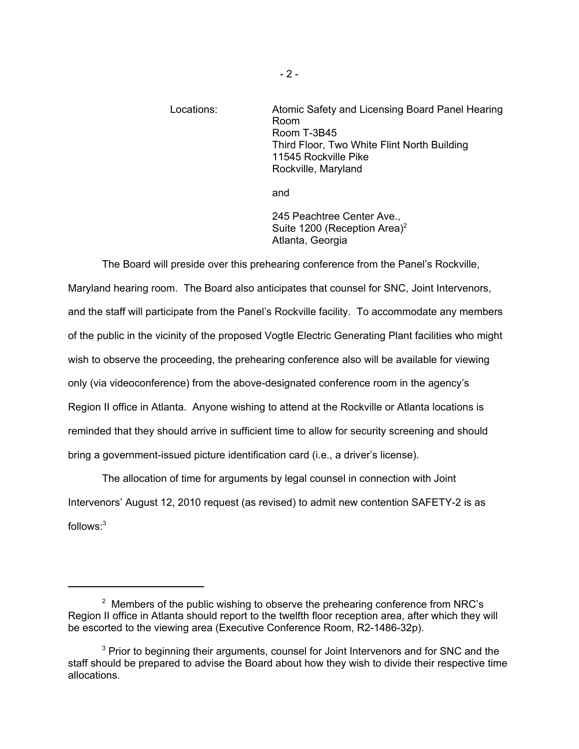# Locations: Atomic Safety and Licensing Board Panel Hearing Room Room T-3B45 Third Floor, Two White Flint North Building 11545 Rockville Pike Rockville, Maryland

and

245 Peachtree Center Ave., Suite 1200 (Reception Area)<sup>2</sup> Atlanta, Georgia

The Board will preside over this prehearing conference from the Panel's Rockville, Maryland hearing room. The Board also anticipates that counsel for SNC, Joint Intervenors, and the staff will participate from the Panel's Rockville facility. To accommodate any members of the public in the vicinity of the proposed Vogtle Electric Generating Plant facilities who might wish to observe the proceeding, the prehearing conference also will be available for viewing only (via videoconference) from the above-designated conference room in the agency's Region II office in Atlanta. Anyone wishing to attend at the Rockville or Atlanta locations is reminded that they should arrive in sufficient time to allow for security screening and should bring a government-issued picture identification card (i.e., a driver's license).

The allocation of time for arguments by legal counsel in connection with Joint Intervenors' August 12, 2010 request (as revised) to admit new contention SAFETY-2 is as follows:3

 $2$  Members of the public wishing to observe the prehearing conference from NRC's Region II office in Atlanta should report to the twelfth floor reception area, after which they will be escorted to the viewing area (Executive Conference Room, R2-1486-32p).

<sup>&</sup>lt;sup>3</sup> Prior to beginning their arguments, counsel for Joint Intervenors and for SNC and the staff should be prepared to advise the Board about how they wish to divide their respective time allocations.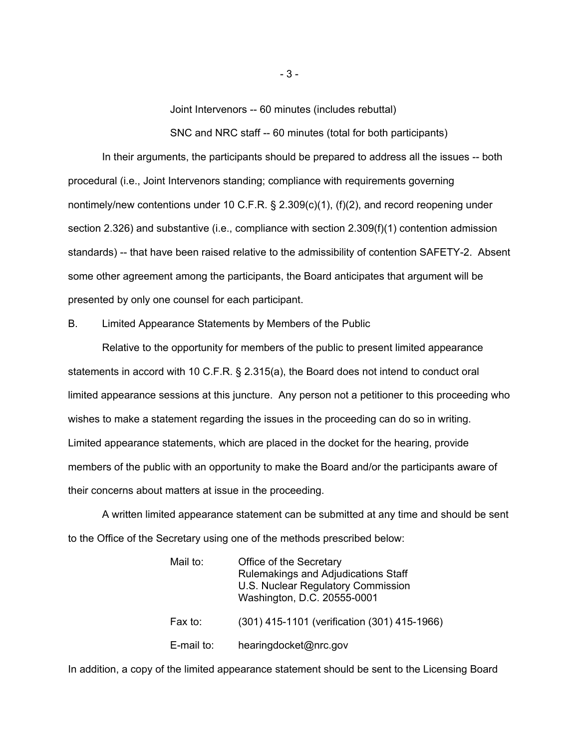Joint Intervenors -- 60 minutes (includes rebuttal)

SNC and NRC staff -- 60 minutes (total for both participants)

In their arguments, the participants should be prepared to address all the issues -- both procedural (i.e., Joint Intervenors standing; compliance with requirements governing nontimely/new contentions under 10 C.F.R. § 2.309(c)(1), (f)(2), and record reopening under section 2.326) and substantive (i.e., compliance with section 2.309(f)(1) contention admission standards) -- that have been raised relative to the admissibility of contention SAFETY-2. Absent some other agreement among the participants, the Board anticipates that argument will be presented by only one counsel for each participant.

#### B. Limited Appearance Statements by Members of the Public

Relative to the opportunity for members of the public to present limited appearance statements in accord with 10 C.F.R. § 2.315(a), the Board does not intend to conduct oral limited appearance sessions at this juncture. Any person not a petitioner to this proceeding who wishes to make a statement regarding the issues in the proceeding can do so in writing. Limited appearance statements, which are placed in the docket for the hearing, provide members of the public with an opportunity to make the Board and/or the participants aware of their concerns about matters at issue in the proceeding.

A written limited appearance statement can be submitted at any time and should be sent to the Office of the Secretary using one of the methods prescribed below:

| Mail to:   | Office of the Secretary<br>Rulemakings and Adjudications Staff<br>U.S. Nuclear Regulatory Commission<br>Washington, D.C. 20555-0001 |
|------------|-------------------------------------------------------------------------------------------------------------------------------------|
| Fax to:    | (301) 415-1101 (verification (301) 415-1966)                                                                                        |
| E-mail to: | hearingdocket@nrc.gov                                                                                                               |

In addition, a copy of the limited appearance statement should be sent to the Licensing Board

- 3 -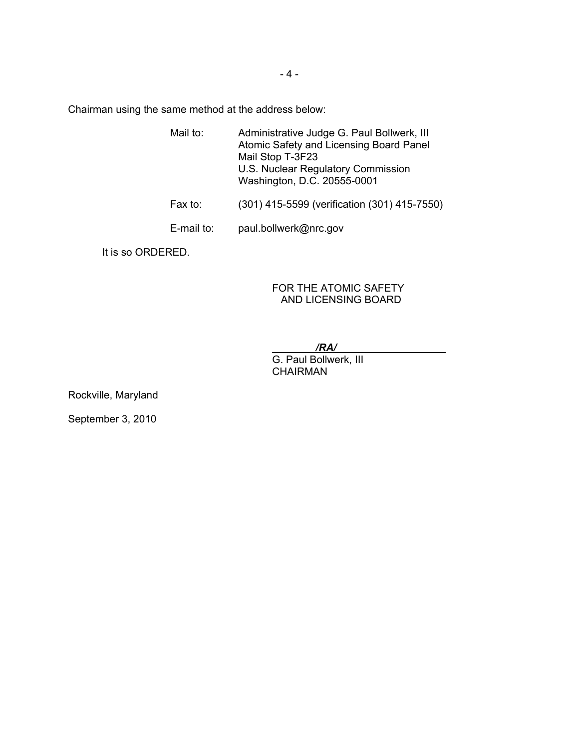Chairman using the same method at the address below:

- Mail to: Administrative Judge G. Paul Bollwerk, III Atomic Safety and Licensing Board Panel Mail Stop T-3F23 U.S. Nuclear Regulatory Commission Washington, D.C. 20555-0001 Fax to: (301) 415-5599 (verification (301) 415-7550)
- E-mail to: paul.bollwerk@nrc.gov

It is so ORDERED.

## FOR THE ATOMIC SAFETY AND LICENSING BOARD

*/RA/*

G. Paul Bollwerk, III **CHAIRMAN** 

Rockville, Maryland

September 3, 2010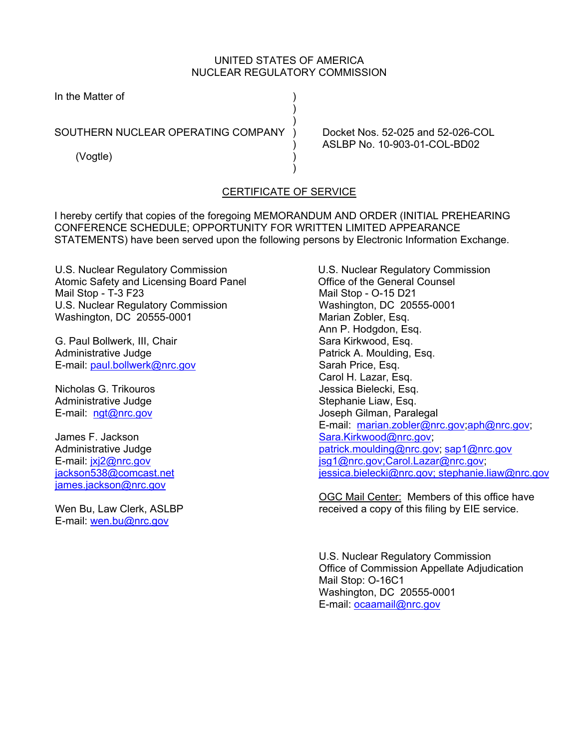## UNITED STATES OF AMERICA NUCLEAR REGULATORY COMMISSION

In the Matter of ) and the contract of  $\mathcal{L}$  $)$ SOUTHERN NUCLEAR OPERATING COMPANY ) Docket Nos. 52-025 and 52-026-COL (Vogtle) )  $)$ 

) ASLBP No. 10-903-01-COL-BD02

# CERTIFICATE OF SERVICE

I hereby certify that copies of the foregoing MEMORANDUM AND ORDER (INITIAL PREHEARING CONFERENCE SCHEDULE; OPPORTUNITY FOR WRITTEN LIMITED APPEARANCE STATEMENTS) have been served upon the following persons by Electronic Information Exchange.

U.S. Nuclear Regulatory Commission Atomic Safety and Licensing Board Panel Mail Stop - T-3 F23 U.S. Nuclear Regulatory Commission Washington, DC 20555-0001

G. Paul Bollwerk, III, Chair Administrative Judge E-mail: paul.bollwerk@nrc.gov

Nicholas G. Trikouros Administrative Judge E-mail: ngt@nrc.gov

James F. Jackson Administrative Judge E-mail: jxj2@nrc.gov jackson538@comcast.net james.jackson@nrc.gov

Wen Bu, Law Clerk, ASLBP E-mail: wen.bu@nrc.gov

U.S. Nuclear Regulatory Commission Office of the General Counsel Mail Stop - O-15 D21 Washington, DC 20555-0001 Marian Zobler, Esq. Ann P. Hodgdon, Esq. Sara Kirkwood, Esq. Patrick A. Moulding, Esq. Sarah Price, Esq. Carol H. Lazar, Esq. Jessica Bielecki, Esq. Stephanie Liaw, Esq. Joseph Gilman, Paralegal E-mail: marian.zobler@nrc.gov;aph@nrc.gov; Sara.Kirkwood@nrc.gov; patrick.moulding@nrc.gov; sap1@nrc.gov jsg1@nrc.gov;Carol.Lazar@nrc.gov; jessica.bielecki@nrc.gov; stephanie.liaw@nrc.gov

OGC Mail Center: Members of this office have received a copy of this filing by EIE service.

U.S. Nuclear Regulatory Commission Office of Commission Appellate Adjudication Mail Stop: O-16C1 Washington, DC 20555-0001 E-mail: ocaamail@nrc.gov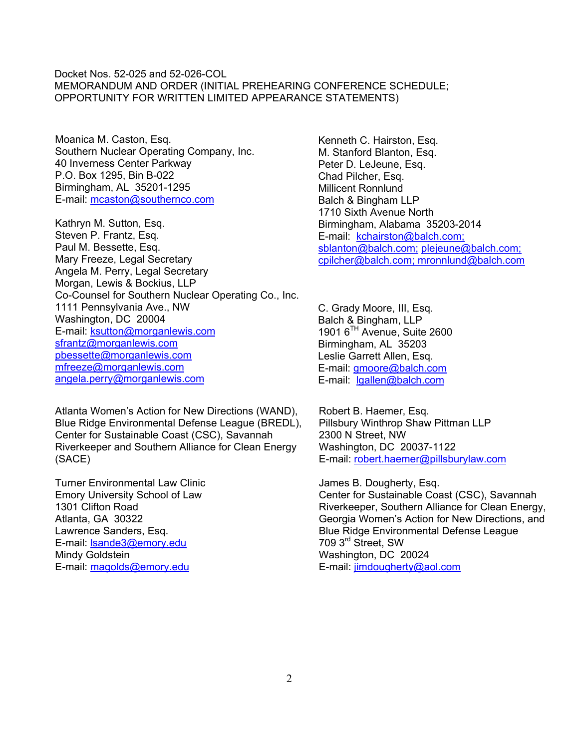### Docket Nos. 52-025 and 52-026-COL MEMORANDUM AND ORDER (INITIAL PREHEARING CONFERENCE SCHEDULE; OPPORTUNITY FOR WRITTEN LIMITED APPEARANCE STATEMENTS)

Moanica M. Caston, Esq. Southern Nuclear Operating Company, Inc. 40 Inverness Center Parkway P.O. Box 1295, Bin B-022 Birmingham, AL 35201-1295 E-mail: mcaston@southernco.com

Kathryn M. Sutton, Esq. Steven P. Frantz, Esq. Paul M. Bessette, Esq. Mary Freeze, Legal Secretary Angela M. Perry, Legal Secretary Morgan, Lewis & Bockius, LLP Co-Counsel for Southern Nuclear Operating Co., Inc. 1111 Pennsylvania Ave., NW Washington, DC 20004 E-mail: ksutton@morganlewis.com sfrantz@morganlewis.com pbessette@morganlewis.com mfreeze@morganlewis.com angela.perry@morganlewis.com

Atlanta Women's Action for New Directions (WAND), Blue Ridge Environmental Defense League (BREDL), Center for Sustainable Coast (CSC), Savannah Riverkeeper and Southern Alliance for Clean Energy (SACE)

Turner Environmental Law Clinic Emory University School of Law 1301 Clifton Road Atlanta, GA 30322 Lawrence Sanders, Esq. E-mail: lsande3@emory.edu Mindy Goldstein E-mail: magolds@emory.edu

Kenneth C. Hairston, Esq. M. Stanford Blanton, Esq. Peter D. LeJeune, Esq. Chad Pilcher, Esq. Millicent Ronnlund Balch & Bingham LLP 1710 Sixth Avenue North Birmingham, Alabama 35203-2014 E-mail: kchairston@balch.com; sblanton@balch.com; plejeune@balch.com; cpilcher@balch.com; mronnlund@balch.com

C. Grady Moore, III, Esq. Balch & Bingham, LLP 1901 6TH Avenue, Suite 2600 Birmingham, AL 35203 Leslie Garrett Allen, Esq. E-mail: gmoore@balch.com E-mail: lgallen@balch.com

Robert B. Haemer, Esq. Pillsbury Winthrop Shaw Pittman LLP 2300 N Street, NW Washington, DC 20037-1122 E-mail: robert.haemer@pillsburylaw.com

James B. Dougherty, Esq. Center for Sustainable Coast (CSC), Savannah Riverkeeper, Southern Alliance for Clean Energy, Georgia Women's Action for New Directions, and Blue Ridge Environmental Defense League 709 3rd Street, SW Washington, DC 20024 E-mail: jimdougherty@aol.com